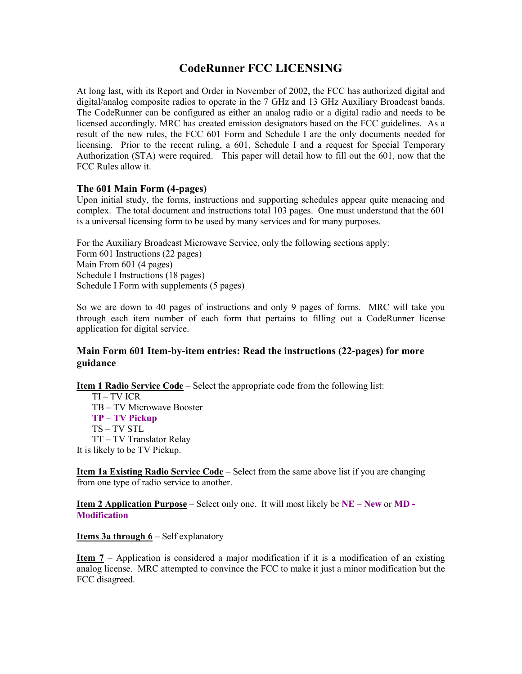# **CodeRunner FCC LICENSING**

At long last, with its Report and Order in November of 2002, the FCC has authorized digital and digital/analog composite radios to operate in the 7 GHz and 13 GHz Auxiliary Broadcast bands. The CodeRunner can be configured as either an analog radio or a digital radio and needs to be licensed accordingly. MRC has created emission designators based on the FCC guidelines. As a result of the new rules, the FCC 601 Form and Schedule I are the only documents needed for licensing. Prior to the recent ruling, a 601, Schedule I and a request for Special Temporary Authorization (STA) were required. This paper will detail how to fill out the 601, now that the FCC Rules allow it.

## **The 601 Main Form (4-pages)**

Upon initial study, the forms, instructions and supporting schedules appear quite menacing and complex. The total document and instructions total 103 pages. One must understand that the 601 is a universal licensing form to be used by many services and for many purposes.

For the Auxiliary Broadcast Microwave Service, only the following sections apply: Form 601 Instructions (22 pages) Main From 601 (4 pages) Schedule I Instructions (18 pages) Schedule I Form with supplements (5 pages)

So we are down to 40 pages of instructions and only 9 pages of forms. MRC will take you through each item number of each form that pertains to filling out a CodeRunner license application for digital service.

## **Main Form 601 Item-by-item entries: Read the instructions (22-pages) for more guidance**

**Item 1 Radio Service Code** – Select the appropriate code from the following list:

TI – TV ICR TB – TV Microwave Booster **TP – TV Pickup**  TS – TV STL TT – TV Translator Relay It is likely to be TV Pickup.

**Item 1a Existing Radio Service Code** – Select from the same above list if you are changing from one type of radio service to another.

**Item 2 Application Purpose** – Select only one. It will most likely be **NE – New** or **MD - Modification** 

**Items 3a through 6** – Self explanatory

**Item 7** – Application is considered a major modification if it is a modification of an existing analog license. MRC attempted to convince the FCC to make it just a minor modification but the FCC disagreed.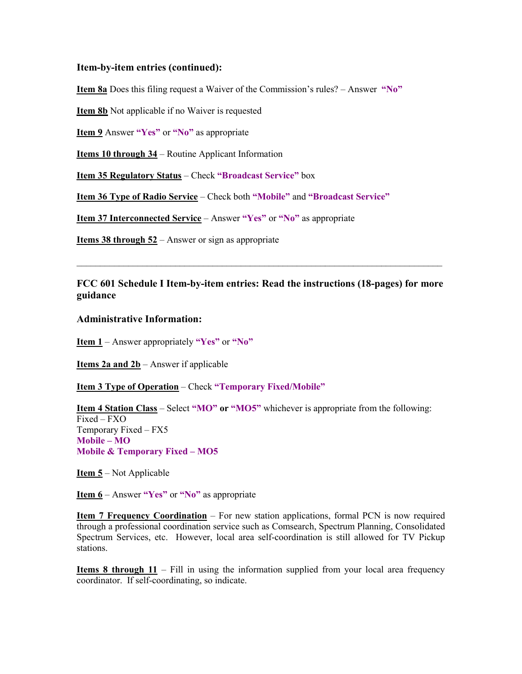#### **Item-by-item entries (continued):**

**Item 8a** Does this filing request a Waiver of the Commission's rules? – Answer **"No"**

**Item 8b** Not applicable if no Waiver is requested

**Item 9** Answer **"Yes"** or **"No"** as appropriate

**Items 10 through 34** – Routine Applicant Information

**Item 35 Regulatory Status** – Check **"Broadcast Service"** box

**Item 36 Type of Radio Service** – Check both **"Mobile"** and **"Broadcast Service"**

**Item 37 Interconnected Service** – Answer **"Yes"** or **"No"** as appropriate

**Items 38 through 52** – Answer or sign as appropriate

## **FCC 601 Schedule I Item-by-item entries: Read the instructions (18-pages) for more guidance**

 $\mathcal{L}_\mathcal{L} = \{ \mathcal{L}_\mathcal{L} = \{ \mathcal{L}_\mathcal{L} = \{ \mathcal{L}_\mathcal{L} = \{ \mathcal{L}_\mathcal{L} = \{ \mathcal{L}_\mathcal{L} = \{ \mathcal{L}_\mathcal{L} = \{ \mathcal{L}_\mathcal{L} = \{ \mathcal{L}_\mathcal{L} = \{ \mathcal{L}_\mathcal{L} = \{ \mathcal{L}_\mathcal{L} = \{ \mathcal{L}_\mathcal{L} = \{ \mathcal{L}_\mathcal{L} = \{ \mathcal{L}_\mathcal{L} = \{ \mathcal{L}_\mathcal{$ 

#### **Administrative Information:**

**Item 1** – Answer appropriately **"Yes"** or **"No"**

**Items 2a and 2b** – Answer if applicable

**Item 3 Type of Operation** – Check **"Temporary Fixed/Mobile"**

**Item 4 Station Class** – Select **"MO" or "MO5"** whichever is appropriate from the following: Fixed – FXO Temporary Fixed – FX5 **Mobile – MO Mobile & Temporary Fixed – MO5** 

**Item 5** – Not Applicable

**Item 6** – Answer **"Yes"** or **"No"** as appropriate

**Item 7 Frequency Coordination** – For new station applications, formal PCN is now required through a professional coordination service such as Comsearch, Spectrum Planning, Consolidated Spectrum Services, etc. However, local area self-coordination is still allowed for TV Pickup stations.

**Items 8 through 11** – Fill in using the information supplied from your local area frequency coordinator. If self-coordinating, so indicate.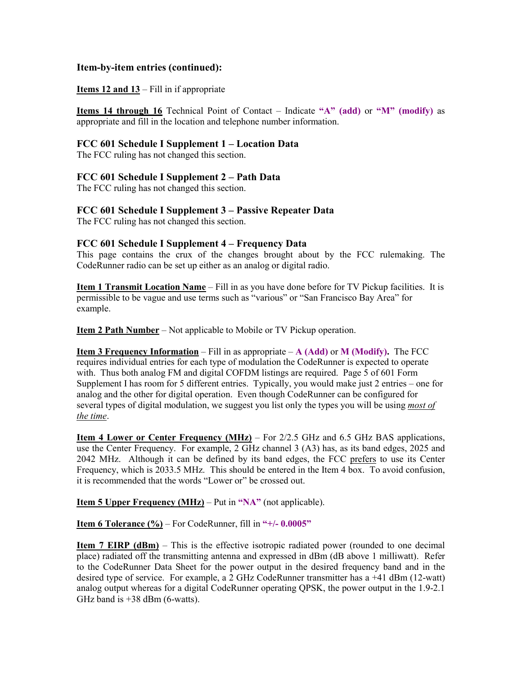### **Item-by-item entries (continued):**

#### **Items 12 and 13** – Fill in if appropriate

**Items 14 through 16** Technical Point of Contact – Indicate **"A" (add)** or **"M" (modify)** as appropriate and fill in the location and telephone number information.

#### **FCC 601 Schedule I Supplement 1 – Location Data**

The FCC ruling has not changed this section.

#### **FCC 601 Schedule I Supplement 2 – Path Data**

The FCC ruling has not changed this section.

## **FCC 601 Schedule I Supplement 3 – Passive Repeater Data**

The FCC ruling has not changed this section.

#### **FCC 601 Schedule I Supplement 4 – Frequency Data**

This page contains the crux of the changes brought about by the FCC rulemaking. The CodeRunner radio can be set up either as an analog or digital radio.

**Item 1 Transmit Location Name** – Fill in as you have done before for TV Pickup facilities. It is permissible to be vague and use terms such as "various" or "San Francisco Bay Area" for example.

**Item 2 Path Number** – Not applicable to Mobile or TV Pickup operation.

**Item 3 Frequency Information** – Fill in as appropriate – **A (Add)** or **M (Modify).** The FCC requires individual entries for each type of modulation the CodeRunner is expected to operate with. Thus both analog FM and digital COFDM listings are required. Page 5 of 601 Form Supplement I has room for 5 different entries. Typically, you would make just 2 entries – one for analog and the other for digital operation. Even though CodeRunner can be configured for several types of digital modulation, we suggest you list only the types you will be using *most of the time*.

**Item 4 Lower or Center Frequency (MHz)** – For 2/2.5 GHz and 6.5 GHz BAS applications, use the Center Frequency. For example, 2 GHz channel 3 (A3) has, as its band edges, 2025 and 2042 MHz. Although it can be defined by its band edges, the FCC prefers to use its Center Frequency, which is 2033.5 MHz. This should be entered in the Item 4 box. To avoid confusion, it is recommended that the words "Lower or" be crossed out.

**Item 5 Upper Frequency (MHz)** – Put in **"NA"** (not applicable).

**Item 6 Tolerance (%)** – For CodeRunner, fill in **"+/- 0.0005"** 

**Item 7 EIRP (dBm)** – This is the effective isotropic radiated power (rounded to one decimal place) radiated off the transmitting antenna and expressed in dBm (dB above 1 milliwatt). Refer to the CodeRunner Data Sheet for the power output in the desired frequency band and in the desired type of service. For example, a 2 GHz CodeRunner transmitter has a +41 dBm (12-watt) analog output whereas for a digital CodeRunner operating QPSK, the power output in the 1.9-2.1 GHz band is  $+38$  dBm (6-watts).